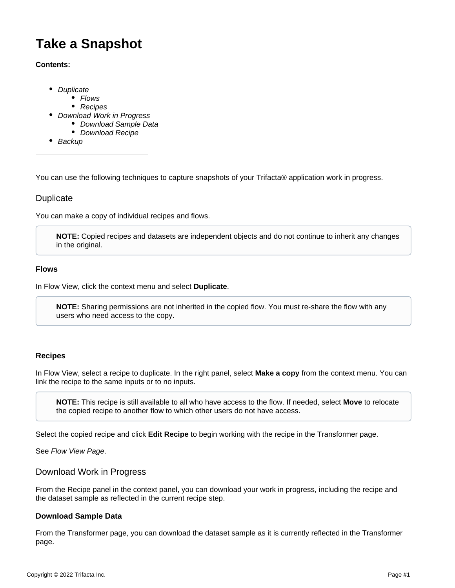# **Take a Snapshot**

#### **Contents:**

- [Duplicate](#page-0-0)
	- [Flows](#page-0-1)
	- [Recipes](#page-0-2)
- [Download Work in Progress](#page-0-3)
	- [Download Sample Data](#page-0-4)
	- [Download Recipe](#page-1-0)
- [Backup](#page-1-1)

You can use the following techniques to capture snapshots of your Trifacta® application work in progress.

## <span id="page-0-0"></span>**Duplicate**

You can make a copy of individual recipes and flows.

**NOTE:** Copied recipes and datasets are independent objects and do not continue to inherit any changes in the original.

#### <span id="page-0-1"></span>**Flows**

In Flow View, click the context menu and select **Duplicate**.

**NOTE:** Sharing permissions are not inherited in the copied flow. You must re-share the flow with any users who need access to the copy.

#### <span id="page-0-2"></span>**Recipes**

In Flow View, select a recipe to duplicate. In the right panel, select **Make a copy** from the context menu. You can link the recipe to the same inputs or to no inputs.

**NOTE:** This recipe is still available to all who have access to the flow. If needed, select **Move** to relocate the copied recipe to another flow to which other users do not have access.

Select the copied recipe and click **Edit Recipe** to begin working with the recipe in the Transformer page.

See [Flow View Page](https://docs.trifacta.com/display/r082/Flow+View+Page).

#### <span id="page-0-3"></span>Download Work in Progress

From the Recipe panel in the context panel, you can download your work in progress, including the recipe and the dataset sample as reflected in the current recipe step.

### <span id="page-0-4"></span>**Download Sample Data**

From the Transformer page, you can download the dataset sample as it is currently reflected in the Transformer page.